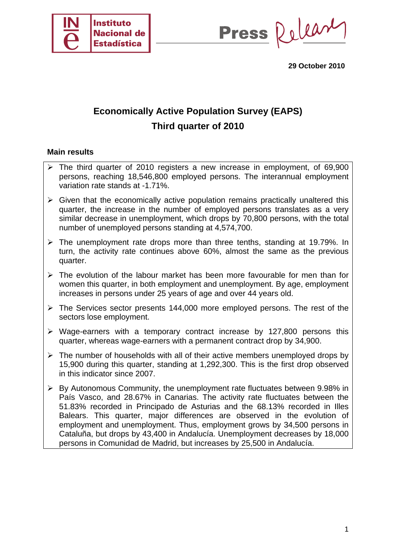

Press Relear

**29 October 2010** 

## **Economically Active Population Survey (EAPS) Third quarter of 2010**

#### **Main results**

- $\triangleright$  The third quarter of 2010 registers a new increase in employment, of 69,900 persons, reaching 18,546,800 employed persons. The interannual employment variation rate stands at -1.71%.
- $\triangleright$  Given that the economically active population remains practically unaltered this quarter, the increase in the number of employed persons translates as a very similar decrease in unemployment, which drops by 70,800 persons, with the total number of unemployed persons standing at 4,574,700.
- $\triangleright$  The unemployment rate drops more than three tenths, standing at 19.79%. In turn, the activity rate continues above 60%, almost the same as the previous quarter.
- $\triangleright$  The evolution of the labour market has been more favourable for men than for women this quarter, in both employment and unemployment. By age, employment increases in persons under 25 years of age and over 44 years old.
- $\triangleright$  The Services sector presents 144,000 more employed persons. The rest of the sectors lose employment.
- $\triangleright$  Wage-earners with a temporary contract increase by 127,800 persons this quarter, whereas wage-earners with a permanent contract drop by 34,900.
- $\triangleright$  The number of households with all of their active members unemployed drops by 15,900 during this quarter, standing at 1,292,300. This is the first drop observed in this indicator since 2007.
- $\triangleright$  By Autonomous Community, the unemployment rate fluctuates between 9.98% in País Vasco, and 28.67% in Canarias. The activity rate fluctuates between the 51.83% recorded in Principado de Asturias and the 68.13% recorded in Illes Balears. This quarter, major differences are observed in the evolution of employment and unemployment. Thus, employment grows by 34,500 persons in Cataluña, but drops by 43,400 in Andalucía. Unemployment decreases by 18,000 persons in Comunidad de Madrid, but increases by 25,500 in Andalucía.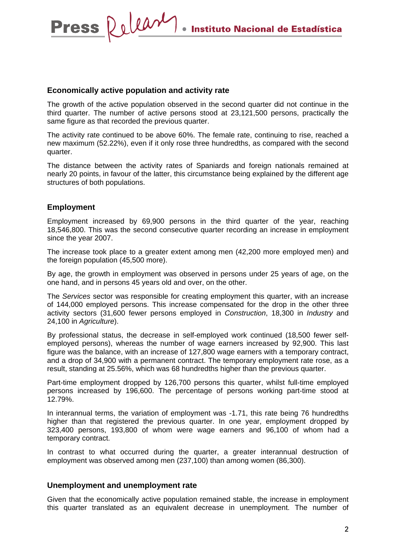#### **Economically active population and activity rate**

Press Relear

The growth of the active population observed in the second quarter did not continue in the third quarter. The number of active persons stood at 23,121,500 persons, practically the same figure as that recorded the previous quarter.

The activity rate continued to be above 60%. The female rate, continuing to rise, reached a new maximum (52.22%), even if it only rose three hundredths, as compared with the second quarter.

The distance between the activity rates of Spaniards and foreign nationals remained at nearly 20 points, in favour of the latter, this circumstance being explained by the different age structures of both populations.

#### **Employment**

Employment increased by 69,900 persons in the third quarter of the year, reaching 18,546,800. This was the second consecutive quarter recording an increase in employment since the year 2007.

The increase took place to a greater extent among men (42,200 more employed men) and the foreign population (45,500 more).

By age, the growth in employment was observed in persons under 25 years of age, on the one hand, and in persons 45 years old and over, on the other.

The *Services* sector was responsible for creating employment this quarter, with an increase of 144,000 employed persons. This increase compensated for the drop in the other three activity sectors (31,600 fewer persons employed in *Construction*, 18,300 in *Industry* and 24,100 in *Agriculture*).

By professional status, the decrease in self-employed work continued (18,500 fewer selfemployed persons), whereas the number of wage earners increased by 92,900. This last figure was the balance, with an increase of 127,800 wage earners with a temporary contract, and a drop of 34,900 with a permanent contract. The temporary employment rate rose, as a result, standing at 25.56%, which was 68 hundredths higher than the previous quarter.

Part-time employment dropped by 126,700 persons this quarter, whilst full-time employed persons increased by 196,600. The percentage of persons working part-time stood at 12.79%.

In interannual terms, the variation of employment was -1.71, this rate being 76 hundredths higher than that registered the previous quarter. In one year, employment dropped by 323,400 persons, 193,800 of whom were wage earners and 96,100 of whom had a temporary contract.

In contrast to what occurred during the quarter, a greater interannual destruction of employment was observed among men (237,100) than among women (86,300).

#### **Unemployment and unemployment rate**

Given that the economically active population remained stable, the increase in employment this quarter translated as an equivalent decrease in unemployment. The number of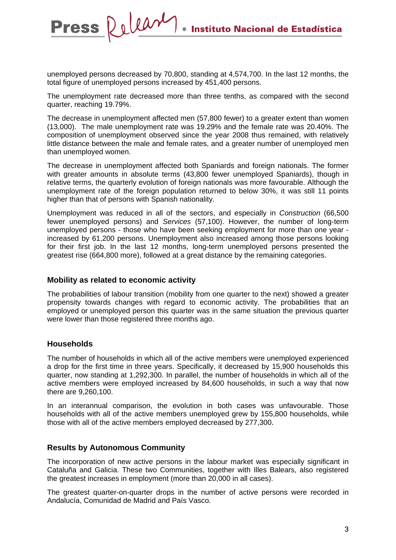unemployed persons decreased by 70,800, standing at 4,574,700. In the last 12 months, the total figure of unemployed persons increased by 451,400 persons.

The unemployment rate decreased more than three tenths, as compared with the second quarter, reaching 19.79%.

The decrease in unemployment affected men (57,800 fewer) to a greater extent than women (13,000). The male unemployment rate was 19.29% and the female rate was 20.40%. The composition of unemployment observed since the year 2008 thus remained, with relatively little distance between the male and female rates, and a greater number of unemployed men than unemployed women.

The decrease in unemployment affected both Spaniards and foreign nationals. The former with greater amounts in absolute terms (43,800 fewer unemployed Spaniards), though in relative terms, the quarterly evolution of foreign nationals was more favourable. Although the unemployment rate of the foreign population returned to below 30%, it was still 11 points higher than that of persons with Spanish nationality.

Unemployment was reduced in all of the sectors, and especially in *Construction* (66,500 fewer unemployed persons) and *Services* (57,100). However, the number of long-term unemployed persons - those who have been seeking employment for more than one year increased by 61,200 persons. Unemployment also increased among those persons looking for their first job. In the last 12 months, long-term unemployed persons presented the greatest rise (664,800 more), followed at a great distance by the remaining categories.

#### **Mobility as related to economic activity**

Press Relear

The probabilities of labour transition (mobility from one quarter to the next) showed a greater propensity towards changes with regard to economic activity. The probabilities that an employed or unemployed person this quarter was in the same situation the previous quarter were lower than those registered three months ago.

#### **Households**

The number of households in which all of the active members were unemployed experienced a drop for the first time in three years. Specifically, it decreased by 15,900 households this quarter, now standing at 1,292,300. In parallel, the number of households in which all of the active members were employed increased by 84,600 households, in such a way that now there are 9,260,100.

In an interannual comparison, the evolution in both cases was unfavourable. Those households with all of the active members unemployed grew by 155,800 households, while those with all of the active members employed decreased by 277,300.

#### **Results by Autonomous Community**

The incorporation of new active persons in the labour market was especially significant in Cataluña and Galicia. These two Communities, together with Illes Balears, also registered the greatest increases in employment (more than 20,000 in all cases).

The greatest quarter-on-quarter drops in the number of active persons were recorded in Andalucía, Comunidad de Madrid and País Vasco.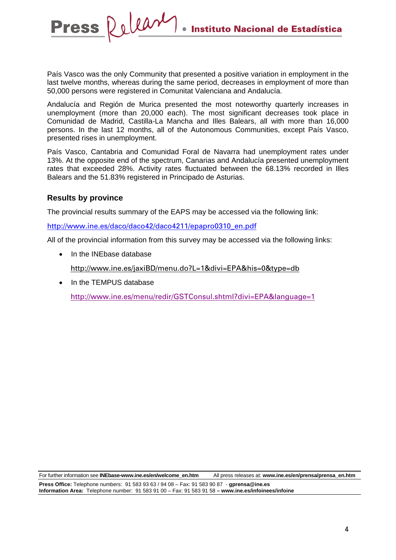País Vasco was the only Community that presented a positive variation in employment in the last twelve months, whereas during the same period, decreases in employment of more than 50,000 persons were registered in Comunitat Valenciana and Andalucía.

Andalucía and Región de Murica presented the most noteworthy quarterly increases in unemployment (more than 20,000 each). The most significant decreases took place in Comunidad de Madrid, Castilla-La Mancha and Illes Balears, all with more than 16,000 persons. In the last 12 months, all of the Autonomous Communities, except País Vasco, presented rises in unemployment.

País Vasco, Cantabria and Comunidad Foral de Navarra had unemployment rates under 13%. At the opposite end of the spectrum, Canarias and Andalucía presented unemployment rates that exceeded 28%. Activity rates fluctuated between the 68.13% recorded in Illes Balears and the 51.83% registered in Principado de Asturias.

#### **Results by province**

The provincial results summary of the EAPS may be accessed via the following link:

[http://www.ine.es/daco/daco42/daco4211/epapro0310\\_en.pd](http://www.ine.es/en/daco/daco42/daco4211/epapro0310_en.pdf)f

All of the provincial information from this survey may be accessed via the following links:

• In the INF hase database

Press Releary

[http://www.ine.es/jaxiBD/menu.do?L=1&divi=EPA&his=0&type=db](http://www.ine.es/jaxiBD/menu.do?L=0&divi=EPA&his=0&type=db) 

• In the TFMPUS database [http://www.ine.es/menu/redir/GSTConsul.shtml?divi=EPA&](http://www.ine.es/menu/redir/GSTConsul.shtml?divi=EPA)language=1

For further information see **INEbase-www.ine.es/en/welcome\_en.htm** All press releases at: **www.ine.es/en/prensa/prensa\_en.htm** 

**Press Office:** Telephone numbers: 91 583 93 63 / 94 08 – Fax: 91 583 90 87 - **gprensa@ine.es Information Area:** Telephone number: 91 583 91 00 – Fax: 91 583 91 58 **– www.ine.es/infoinees/infoine**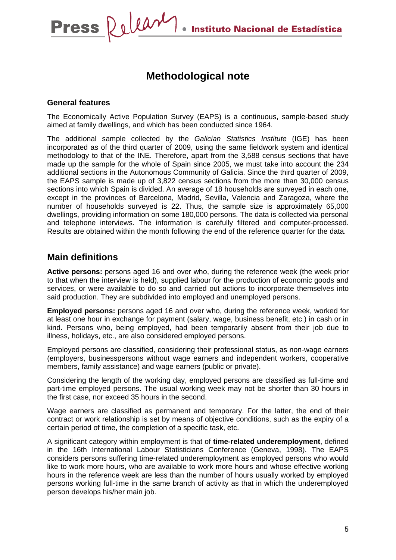## **Methodological note**

#### **General features**

The Economically Active Population Survey (EAPS) is a continuous, sample-based study aimed at family dwellings, and which has been conducted since 1964.

The additional sample collected by the *Galician Statistics Institute* (IGE) has been incorporated as of the third quarter of 2009, using the same fieldwork system and identical methodology to that of the INE. Therefore, apart from the 3,588 census sections that have made up the sample for the whole of Spain since 2005, we must take into account the 234 additional sections in the Autonomous Community of Galicia. Since the third quarter of 2009, the EAPS sample is made up of 3,822 census sections from the more than 30,000 census sections into which Spain is divided. An average of 18 households are surveyed in each one, except in the provinces of Barcelona, Madrid, Sevilla, Valencia and Zaragoza, where the number of households surveyed is 22. Thus, the sample size is approximately 65,000 dwellings, providing information on some 180,000 persons. The data is collected via personal and telephone interviews. The information is carefully filtered and computer-processed. Results are obtained within the month following the end of the reference quarter for the data.

## **Main definitions**

**Active persons:** persons aged 16 and over who, during the reference week (the week prior to that when the interview is held), supplied labour for the production of economic goods and services, or were available to do so and carried out actions to incorporate themselves into said production. They are subdivided into employed and unemployed persons.

**Employed persons:** persons aged 16 and over who, during the reference week, worked for at least one hour in exchange for payment (salary, wage, business benefit, etc.) in cash or in kind. Persons who, being employed, had been temporarily absent from their job due to illness, holidays, etc., are also considered employed persons.

Employed persons are classified, considering their professional status, as non-wage earners (employers, businesspersons without wage earners and independent workers, cooperative members, family assistance) and wage earners (public or private).

Considering the length of the working day, employed persons are classified as full-time and part-time employed persons. The usual working week may not be shorter than 30 hours in the first case, nor exceed 35 hours in the second.

Wage earners are classified as permanent and temporary. For the latter, the end of their contract or work relationship is set by means of objective conditions, such as the expiry of a certain period of time, the completion of a specific task, etc.

A significant category within employment is that of **time-related underemployment**, defined in the 16th International Labour Statisticians Conference (Geneva, 1998). The EAPS considers persons suffering time-related underemployment as employed persons who would like to work more hours, who are available to work more hours and whose effective working hours in the reference week are less than the number of hours usually worked by employed persons working full-time in the same branch of activity as that in which the underemployed person develops his/her main job.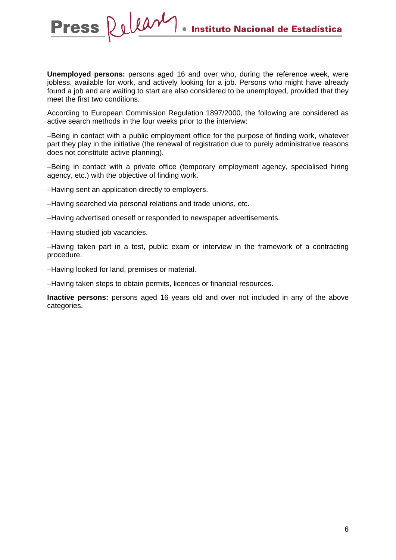**Unemployed persons:** persons aged 16 and over who, during the reference week, were jobless, available for work, and actively looking for a job. Persons who might have already found a job and are waiting to start are also considered to be unemployed, provided that they meet the first two conditions.

According to European Commission Regulation 1897/2000, the following are considered as active search methods in the four weeks prior to the interview:

−Being in contact with a public employment office for the purpose of finding work, whatever part they play in the initiative (the renewal of registration due to purely administrative reasons does not constitute active planning).

−Being in contact with a private office (temporary employment agency, specialised hiring agency, etc.) with the objective of finding work.

−Having sent an application directly to employers.

−Having searched via personal relations and trade unions, etc.

−Having advertised oneself or responded to newspaper advertisements.

−Having studied job vacancies.

−Having taken part in a test, public exam or interview in the framework of a contracting procedure.

−Having looked for land, premises or material.

−Having taken steps to obtain permits, licences or financial resources.

**Inactive persons:** persons aged 16 years old and over not included in any of the above categories.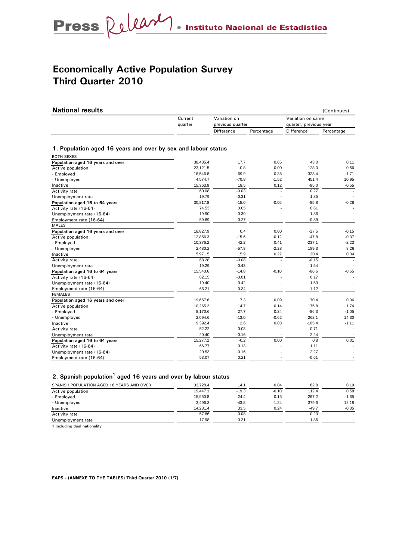## **Economically Active Population Survey Third Quarter 2010**

| <b>National results</b>                                       |          |                  |            |                        | (Continues) |  |
|---------------------------------------------------------------|----------|------------------|------------|------------------------|-------------|--|
|                                                               | Current  | Variation on     |            | Variation on same      |             |  |
|                                                               | quarter  | previous quarter |            | quarter, previous year |             |  |
|                                                               |          | Difference       | Percentage | Difference             | Percentage  |  |
|                                                               |          |                  |            |                        |             |  |
| 1. Population aged 16 years and over by sex and labour status |          |                  |            |                        |             |  |
| <b>BOTH SEXES</b>                                             |          |                  |            |                        |             |  |
| Population aged 16 years and over                             | 38,485.4 | 17.7             | 0.05       | 43.0                   | 0.11        |  |
| Active population                                             | 23,121.5 | $-0.8$           | 0.00       | 128.0                  | 0.56        |  |
| - Employed                                                    | 18,546.8 | 69.9             | 0.38       | $-323.4$               | $-1.71$     |  |
| - Unemployed                                                  | 4,574.7  | $-70.8$          | $-1.52$    | 451.4                  | 10.95       |  |
| Inactive                                                      | 15,363.9 | 18.5             | 0.12       | $-85.0$                | $-0.55$     |  |
| Activity rate                                                 | 60.08    | $-0.03$          |            | 0.27                   |             |  |
| Unemployment rate                                             | 19.79    | $-0.31$          |            | 1.85                   |             |  |
| Population aged 16 to 64 years                                | 30,817.8 | $-15.0$          | $-0.05$    | $-85.8$                | $-0.28$     |  |
| Activity rate (16-64)                                         | 74.53    | 0.05             |            | 0.61                   |             |  |
| Unemployment rate (16-64)                                     | 19.90    | $-0.30$          |            | 1.86                   |             |  |
| Employment rate (16-64)                                       | 59.69    | 0.27             |            | $-0.89$                |             |  |
| <b>MALES</b>                                                  |          |                  |            |                        |             |  |
| Population aged 16 years and over                             | 18,827.9 | 0.4              | 0.00       | $-27.5$                | $-0.15$     |  |
| Active population                                             | 12,856.3 | $-15.6$          | $-0.12$    | $-47.8$                | $-0.37$     |  |
| - Employed                                                    | 10,376.2 | 42.2             | 0.41       | $-237.1$               | $-2.23$     |  |
| - Unemployed                                                  | 2,480.2  | $-57.8$          | $-2.28$    | 189.3                  | 8.26        |  |
| Inactive                                                      | 5,971.5  | 15.9             | 0.27       | 20.4                   | 0.34        |  |
| Activity rate                                                 | 68.28    | $-0.08$          |            | $-0.15$                |             |  |
| Unemployment rate                                             | 19.29    | $-0.43$          |            | 1.54                   |             |  |
| Population aged 16 to 64 years                                | 15,540.6 | $-14.8$          | $-0.10$    | $-86.6$                | $-0.55$     |  |
| Activity rate (16-64)                                         | 82.15    | $-0.01$          |            | 0.17                   |             |  |
| Unemployment rate (16-64)                                     | 19.40    | $-0.42$          |            | 1.53                   |             |  |
| Employment rate (16-64)                                       | 66.21    | 0.34             |            | $-1.12$                |             |  |
| <b>FEMALES</b>                                                |          |                  |            |                        |             |  |
| Population aged 16 years and over                             | 19,657.6 | 17.3             | 0.09       | 70.4                   | 0.36        |  |
| Active population                                             | 10,265.2 | 14.7             | 0.14       | 175.8                  | 1.74        |  |
| - Employed                                                    | 8,170.6  | 27.7             | 0.34       | $-86.3$                | $-1.05$     |  |
| - Unemployed                                                  | 2,094.6  | $-13.0$          | $-0.62$    | 262.1                  | 14.30       |  |
| Inactive                                                      | 9,392.4  | 2.6              | 0.03       | $-105.4$               | $-1.11$     |  |
| Activity rate                                                 | 52.22    | 0.03             |            | 0.71                   |             |  |
| Unemployment rate                                             | 20.40    | $-0.16$          |            | 2.24                   |             |  |
| Population aged 16 to 64 years                                | 15,277.2 | $-0.2$           | 0.00       | 0.8                    | 0.01        |  |
| Activity rate (16-64)                                         | 66.77    | 0.13             |            | 1.11                   |             |  |
| Unemployment rate (16-64)                                     | 20.53    | $-0.16$          |            | 2.27                   |             |  |
| Employment rate (16-64)                                       | 53.07    | 0.21             |            | $-0.61$                |             |  |

#### **2. Spanish population<sup>1</sup> aged 16 years and over by labour status**

| SPANISH POPULATION AGED 16 YEARS AND OVER | 33.728.4 | 14.1    | 0.04                     | 62.8     | 0.19    |
|-------------------------------------------|----------|---------|--------------------------|----------|---------|
| Active population                         | 19.447.1 | $-19.3$ | $-0.10$                  | 112.4    | 0.58    |
| - Employed                                | 15.950.8 | 24.4    | 0.15                     | $-267.2$ | $-1.65$ |
| - Unemployed                              | 3.496.3  | $-43.8$ | $-1.24$                  | 379.6    | 12.18   |
| Inactive                                  | 14.281.4 | 33.5    | 0.24                     | $-49.7$  | $-0.35$ |
| Activity rate                             | 57.66    | $-0.08$ |                          | 0.23     |         |
| Unemployment rate                         | 17.98    | $-0.21$ | $\overline{\phantom{a}}$ | 1.86     |         |

1 including dual nationality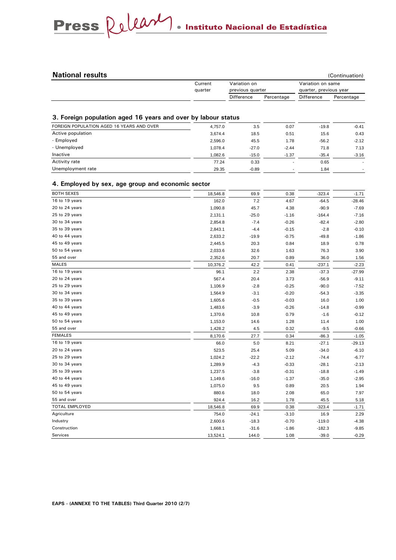# Press Relear . Instituto Nacional de Estadística

 $\sim$ 

| (Continuation)                                              |
|-------------------------------------------------------------|
| Variation on<br>Variation on same                           |
| previous quarter<br>quarter, previous year                  |
| <b>Difference</b><br>Difference<br>Percentage<br>Percentage |
|                                                             |

#### **3. Foreign population aged 16 years and over by labour status**

| FOREIGN POPULATION AGED 16 YEARS AND OVER | 4.757.0 | 3.5     | 0.07    | $-19.8$ | $-0.41$                  |
|-------------------------------------------|---------|---------|---------|---------|--------------------------|
| Active population                         | 3.674.4 | 18.5    | 0.51    | 15.6    | 0.43                     |
| - Employed                                | 2.596.0 | 45.5    | 1.78    | $-56.2$ | $-2.12$                  |
| - Unemployed                              | 1.078.4 | $-27.0$ | $-2.44$ | 71.8    | 7.13                     |
| Inactive                                  | 1,082.6 | $-15.0$ | $-1.37$ | $-35.4$ | $-3.16$                  |
| Activity rate                             | 77.24   | 0.33    | ۰.      | 0.65    | $\overline{\phantom{a}}$ |
| Unemployment rate                         | 29.35   | $-0.89$ |         | 1.84    |                          |
|                                           |         |         |         |         |                          |

#### **4. Employed by sex, age group and economic sector**

| <b>BOTH SEXES</b> | 18,546.8 | 69.9    | 0.38    | $-323.4$ | $-1.71$  |
|-------------------|----------|---------|---------|----------|----------|
| 16 to 19 years    | 162.0    | 7.2     | 4.67    | $-64.5$  | $-28.46$ |
| 20 to 24 years    | 1,090.8  | 45.7    | 4.38    | $-90.9$  | $-7.69$  |
| 25 to 29 years    | 2,131.1  | $-25.0$ | $-1.16$ | $-164.4$ | $-7.16$  |
| 30 to 34 years    | 2,854.8  | $-7.4$  | $-0.26$ | $-82.4$  | $-2.80$  |
| 35 to 39 years    | 2,843.1  | $-4.4$  | $-0.15$ | $-2.8$   | $-0.10$  |
| 40 to 44 years    | 2,633.2  | $-19.9$ | $-0.75$ | $-49.8$  | $-1.86$  |
| 45 to 49 years    | 2,445.5  | 20.3    | 0.84    | 18.9     | 0.78     |
| 50 to 54 years    | 2,033.6  | 32.6    | 1.63    | 76.3     | 3.90     |
| 55 and over       | 2,352.6  | 20.7    | 0.89    | 36.0     | 1.56     |
| <b>MALES</b>      | 10,376.2 | 42.2    | 0.41    | $-237.1$ | $-2.23$  |
| 16 to 19 years    | 96.1     | 2.2     | 2.38    | $-37.3$  | $-27.99$ |
| 20 to 24 years    | 567.4    | 20.4    | 3.73    | $-56.9$  | $-9.11$  |
| 25 to 29 years    | 1,106.9  | $-2.8$  | $-0.25$ | $-90.0$  | $-7.52$  |
| 30 to 34 years    | 1,564.9  | $-3.1$  | $-0.20$ | $-54.3$  | $-3.35$  |
| 35 to 39 years    | 1,605.6  | $-0.5$  | $-0.03$ | 16.0     | 1.00     |
| 40 to 44 years    | 1,483.6  | $-3.9$  | $-0.26$ | $-14.8$  | $-0.99$  |
| 45 to 49 years    | 1,370.6  | 10.8    | 0.79    | $-1.6$   | $-0.12$  |
| 50 to 54 years    | 1,153.0  | 14.6    | 1.28    | 11.4     | 1.00     |
| 55 and over       | 1,428.2  | 4.5     | 0.32    | $-9.5$   | $-0.66$  |
| <b>FEMALES</b>    | 8,170.6  | 27.7    | 0.34    | $-86.3$  | $-1.05$  |
| 16 to 19 years    | 66.0     | 5.0     | 8.21    | $-27.1$  | $-29.13$ |
| 20 to 24 years    | 523.5    | 25.4    | 5.09    | $-34.0$  | $-6.10$  |
| 25 to 29 years    | 1,024.2  | $-22.2$ | $-2.12$ | $-74.4$  | $-6.77$  |
| 30 to 34 years    | 1,289.9  | $-4.3$  | $-0.33$ | $-28.1$  | $-2.13$  |
| 35 to 39 years    | 1,237.5  | $-3.8$  | $-0.31$ | $-18.8$  | $-1.49$  |
| 40 to 44 years    | 1,149.6  | $-16.0$ | $-1.37$ | $-35.0$  | $-2.95$  |
| 45 to 49 years    | 1,075.0  | 9.5     | 0.89    | 20.5     | 1.94     |
| 50 to 54 years    | 880.6    | 18.0    | 2.08    | 65.0     | 7.97     |
| 55 and over       | 924.4    | 16.2    | 1.78    | 45.5     | 5.18     |
| TOTAL EMPLOYED    | 18,546.8 | 69.9    | 0.38    | $-323.4$ | $-1.71$  |
| Agriculture       | 754.0    | $-24.1$ | $-3.10$ | 16.9     | 2.29     |
| Industry          | 2,600.6  | $-18.3$ | $-0.70$ | $-119.0$ | $-4.38$  |
| Construction      | 1,668.1  | $-31.6$ | $-1.86$ | $-182.3$ | $-9.85$  |
| Services          | 13,524.1 | 144.0   | 1.08    | $-39.0$  | $-0.29$  |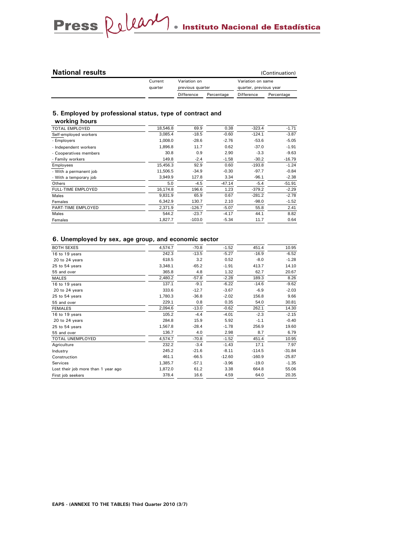#### **National results**

|  | (Continuation) |  |
|--|----------------|--|
|  |                |  |

| Current | Variation on<br>previous quarter |            | Variation on same      |            |
|---------|----------------------------------|------------|------------------------|------------|
| quarter |                                  |            | quarter, previous year |            |
|         | Difference                       | Percentage | <b>Difference</b>      | Percentage |

#### **5. Employed by professional status, type of contract and**

| working hours             |          |          |          |          |          |
|---------------------------|----------|----------|----------|----------|----------|
| <b>TOTAL EMPLOYED</b>     | 18,546.8 | 69.9     | 0.38     | $-323.4$ | $-1.71$  |
| Self-employed workers     | 3.085.4  | $-18.5$  | $-0.60$  | $-124.1$ | $-3.87$  |
| - Employers               | 1,008.0  | $-28.6$  | $-2.76$  | $-53.6$  | $-5.05$  |
| - Independent workers     | 1,896.8  | 11.7     | 0.62     | $-37.0$  | $-1.91$  |
| - Cooperatives members    | 30.8     | 0.9      | 2.90     | $-3.3$   | $-9.63$  |
| - Family workers          | 149.8    | $-2.4$   | $-1.58$  | $-30.2$  | $-16.79$ |
| Employees                 | 15,456.3 | 92.9     | 0.60     | $-193.8$ | $-1.24$  |
| - With a permanent job    | 11,506.5 | $-34.9$  | $-0.30$  | $-97.7$  | $-0.84$  |
| - With a temporary job    | 3,949.9  | 127.8    | 3.34     | $-96.1$  | $-2.38$  |
| Others                    | 5.0      | $-4.5$   | $-47.14$ | $-5.4$   | $-51.91$ |
| <b>FULL-TIME EMPLOYED</b> | 16.174.8 | 196.6    | 1.23     | $-379.2$ | $-2.29$  |
| Males                     | 9,831.9  | 65.9     | 0.67     | $-281.2$ | $-2.78$  |
| Females                   | 6,342.9  | 130.7    | 2.10     | $-98.0$  | $-1.52$  |
| PART-TIME EMPLOYED        | 2,371.9  | $-126.7$ | $-5.07$  | 55.8     | 2.41     |
| Males                     | 544.2    | $-23.7$  | $-4.17$  | 44.1     | 8.82     |
| Females                   | 1,827.7  | $-103.0$ | $-5.34$  | 11.7     | 0.64     |

#### **6. Unemployed by sex, age group, and economic sector**

| BOTH SEXES                          | 4,574.7 | $-70.8$ | $-1.52$  | 451.4    | 10.95    |
|-------------------------------------|---------|---------|----------|----------|----------|
| 16 to 19 years                      | 242.3   | $-13.5$ | $-5.27$  | $-16.9$  | $-6.52$  |
| 20 to 24 years                      | 618.5   | 3.2     | 0.52     | $-8.0$   | $-1.28$  |
| 25 to 54 years                      | 3,348.1 | $-65.2$ | $-1.91$  | 413.7    | 14.10    |
| 55 and over                         | 365.8   | 4.8     | 1.32     | 62.7     | 20.67    |
| <b>MALES</b>                        | 2,480.2 | $-57.8$ | $-2.28$  | 189.3    | 8.26     |
| 16 to 19 years                      | 137.1   | $-9.1$  | $-6.22$  | $-14.6$  | $-9.62$  |
| 20 to 24 years                      | 333.6   | $-12.7$ | $-3.67$  | $-6.9$   | $-2.03$  |
| 25 to 54 years                      | 1,780.3 | $-36.8$ | $-2.02$  | 156.8    | 9.66     |
| 55 and over                         | 229.1   | 0.8     | 0.35     | 54.0     | 30.81    |
| <b>FEMALES</b>                      | 2,094.6 | $-13.0$ | $-0.62$  | 262.1    | 14.30    |
| 16 to 19 years                      | 105.2   | $-4.4$  | $-4.01$  | $-2.3$   | $-2.15$  |
| 20 to 24 years                      | 284.8   | 15.9    | 5.92     | $-1.1$   | $-0.40$  |
| 25 to 54 years                      | 1,567.8 | $-28.4$ | $-1.78$  | 256.9    | 19.60    |
| 55 and over                         | 136.7   | 4.0     | 2.98     | 8.7      | 6.79     |
| <b>TOTAL UNEMPLOYED</b>             | 4,574.7 | $-70.8$ | $-1.52$  | 451.4    | 10.95    |
| Agriculture                         | 232.2   | $-3.4$  | $-1.43$  | 17.1     | 7.97     |
| Industry                            | 245.2   | $-21.6$ | $-8.11$  | $-114.5$ | $-31.84$ |
| Construction                        | 461.1   | $-66.5$ | $-12.60$ | $-160.9$ | $-25.87$ |
| Services                            | 1,385.7 | $-57.1$ | $-3.96$  | $-19.0$  | $-1.35$  |
| Lost their job more than 1 year ago | 1,872.0 | 61.2    | 3.38     | 664.8    | 55.06    |
| First job seekers                   | 378.4   | 16.6    | 4.59     | 64.0     | 20.35    |
|                                     |         |         |          |          |          |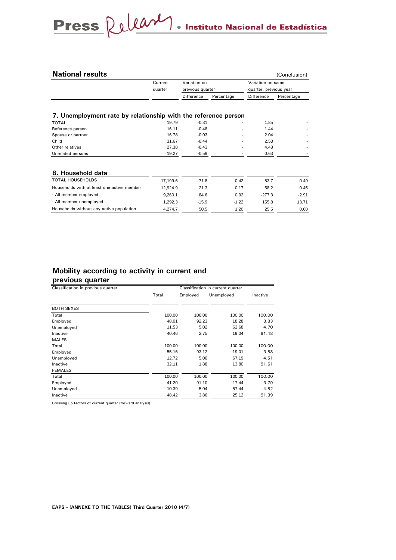| <b>National results</b> |              |                  |            | (Conclusion)           |  |
|-------------------------|--------------|------------------|------------|------------------------|--|
| Current                 | Variation on | previous quarter |            | Variation on same      |  |
| quarter                 |              |                  |            | quarter, previous year |  |
|                         | Difference   | Percentage       | Difference | Percentage             |  |

#### **7. Unemployment rate by relationship with the reference person**

| <b>TOTAL</b>      | 19.79 | $-0.31$ | $\overline{\phantom{a}}$ | 1.85 |  |
|-------------------|-------|---------|--------------------------|------|--|
| Reference person  | 16.11 | $-0.48$ |                          | 1.44 |  |
| Spouse or partner | 16.78 | $-0.03$ |                          | 2.04 |  |
| Child             | 31.67 | $-0.44$ |                          | 2.53 |  |
| Other relatives   | 27.38 | $-0.43$ |                          | 4.48 |  |
| Unrelated persons | 19.27 | $-0.59$ | $\overline{\phantom{a}}$ | 0.63 |  |
|                   |       |         |                          |      |  |

#### **8. Household data**

| <b>TOTAL HOUSEHOLDS</b>                    | 17.199.6 | 71.8    | 0.42    | 83.7     | 0.49    |
|--------------------------------------------|----------|---------|---------|----------|---------|
| Households with at least one active member | 12.924.9 | 21.3    | 0.17    | 58.2     | 0.45    |
| - All member employed                      | 9.260.1  | 84.6    | 0.92    | $-277.3$ | $-2.91$ |
| - All member unemploved                    | 1.292.3  | $-15.9$ | $-1.22$ | 155.8    | 13.71   |
| Households without any active population   | 4.274.7  | 50.5    | 1.20    | 25.5     | 0.60    |

#### **Mobility according to activity in current and**

#### **previous quarter**

| Classification in previous quarter |        |          | Classification in current quarter |          |  |  |
|------------------------------------|--------|----------|-----------------------------------|----------|--|--|
|                                    | Total  | Employed | Unemployed                        | Inactive |  |  |
| <b>BOTH SEXES</b>                  |        |          |                                   |          |  |  |
| Total                              | 100.00 | 100.00   | 100.00                            | 100.00   |  |  |
| Employed                           | 48.01  | 92.23    | 18.28                             | 3.83     |  |  |
| Unemployed                         | 11.53  | 5.02     | 62.68                             | 4.70     |  |  |
| Inactive                           | 40.46  | 2.75     | 19.04                             | 91.48    |  |  |
| <b>MALES</b>                       |        |          |                                   |          |  |  |
| Total                              | 100.00 | 100.00   | 100.00                            | 100.00   |  |  |
| Employed                           | 55.16  | 93.12    | 19.01                             | 3.88     |  |  |
| Unemployed                         | 12.72  | 5.00     | 67.19                             | 4.51     |  |  |
| Inactive                           | 32.11  | 1.88     | 13.80                             | 91.61    |  |  |
| <b>FEMALES</b>                     |        |          |                                   |          |  |  |
| Total                              | 100.00 | 100.00   | 100.00                            | 100.00   |  |  |
| Employed                           | 41.20  | 91.10    | 17.44                             | 3.79     |  |  |
| Unemployed                         | 10.39  | 5.04     | 57.44                             | 4.82     |  |  |
| Inactive                           | 48.42  | 3.86     | 25.12                             | 91.39    |  |  |

Grossing up factors of current quarter (forward analysis)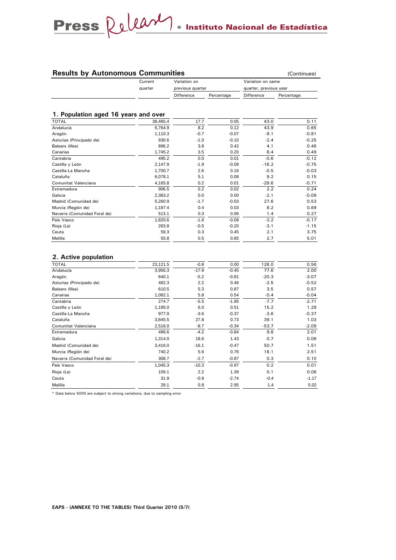### **Results by Autonomous Communities Continues** (Continues)

| Current | Variation on             |  | Variation on same      |            |  |
|---------|--------------------------|--|------------------------|------------|--|
| auarter | previous quarter         |  | quarter, previous year |            |  |
|         | Difference<br>Percentage |  | Difference             | Percentage |  |

#### **1. Population aged 16 years and over**

| <b>TOTAL</b>                 | 38,485.4 | 17.7   | 0.05    | 43.0    | 0.11    |
|------------------------------|----------|--------|---------|---------|---------|
| Andalucía                    | 6,764.9  | 8.2    | 0.12    | 43.9    | 0.65    |
| Aragón                       | 1,110.3  | $-0.7$ | $-0.07$ | $-9.1$  | $-0.81$ |
| Asturias (Principado de)     | 930.6    | $-1.0$ | $-0.10$ | $-2.4$  | $-0.25$ |
| Balears (Illes)              | 896.2    | 3.8    | 0.42    | 4.1     | 0.46    |
| Canarias                     | 1,745.2  | 3.5    | 0.20    | 8.4     | 0.49    |
| Cantabria                    | 495.2    | 0.0    | 0.01    | $-0.6$  | $-0.12$ |
| Castilla y León              | 2,147.9  | $-1.9$ | $-0.09$ | $-16.2$ | $-0.75$ |
| Castilla-La Mancha           | 1,700.7  | 2.6    | 0.16    | $-0.5$  | $-0.03$ |
| Cataluña                     | 6,078.1  | 5.1    | 0.08    | 9.2     | 0.15    |
| Comunitat Valenciana         | 4,165.8  | 0.2    | 0.01    | $-29.6$ | $-0.71$ |
| Extremadura                  | 906.5    | 0.2    | 0.02    | 2.2     | 0.24    |
| Galicia                      | 2,383.2  | 0.0    | 0.00    | $-2.1$  | $-0.09$ |
| Madrid (Comunidad de)        | 5,260.9  | $-1.7$ | $-0.03$ | 27.6    | 0.53    |
| Murcia (Región de)           | 1,187.4  | 0.4    | 0.03    | 8.2     | 0.69    |
| Navarra (Comunidad Foral de) | 513.1    | 0.3    | 0.06    | 1.4     | 0.27    |
| País Vasco                   | 1,820.6  | $-1.6$ | $-0.09$ | $-3.2$  | $-0.17$ |
| Rioja (La)                   | 263.8    | $-0.5$ | $-0.20$ | $-3.1$  | $-1.15$ |
| Ceuta                        | 59.3     | 0.3    | 0.45    | 2.1     | 3.75    |
| Melilla                      | 55.8     | 0.5    | 0.85    | 2.7     | 5.01    |

#### **2. Active population**

| TOTAL                        | 23,121.5 | $-0.8$  | 0.00    | 128.0   | 0.56    |
|------------------------------|----------|---------|---------|---------|---------|
| Andalucía                    | 3,956.3  | $-17.9$ | $-0.45$ | 77.6    | 2.00    |
| Aragón                       | 640.1    | $-5.2$  | $-0.81$ | $-20.3$ | $-3.07$ |
| Asturias (Principado de)     | 482.3    | 2.2     | 0.46    | $-2.5$  | $-0.52$ |
| Balears (Illes)              | 610.5    | 5.3     | 0.87    | 3.5     | 0.57    |
| Canarias                     | 1,082.1  | 5.8     | 0.54    | $-0.4$  | $-0.04$ |
| Cantabria                    | 274.7    | $-5.5$  | $-1.95$ | $-7.7$  | $-2.71$ |
| Castilla y León              | 1,195.0  | 6.0     | 0.51    | 15.2    | 1.29    |
| Castilla-La Mancha           | 977.9    | $-3.6$  | $-0.37$ | $-3.6$  | $-0.37$ |
| Cataluña                     | 3,845.5  | 27.8    | 0.73    | 39.1    | 1.03    |
| Comunitat Valenciana         | 2,516.0  | $-8.7$  | $-0.34$ | $-53.7$ | $-2.09$ |
| Extremadura                  | 496.6    | $-4.2$  | $-0.84$ | 9.8     | 2.01    |
| Galicia                      | 1,314.0  | 18.6    | 1.43    | 0.7     | 0.06    |
| Madrid (Comunidad de)        | 3,416.0  | $-16.1$ | $-0.47$ | 50.7    | 1.51    |
| Murcia (Región de)           | 740.2    | 5.6     | 0.76    | 18.1    | 2.51    |
| Navarra (Comunidad Foral de) | 308.7    | $-2.7$  | $-0.87$ | 0.3     | 0.10    |
| País Vasco                   | 1,045.3  | $-10.3$ | $-0.97$ | 0.2     | 0.01    |
| Rioja (La)                   | 159.1    | 2.2     | 1.39    | 0.1     | 0.06    |
| Ceuta                        | 31.9     | $-0.9$  | $-2.74$ | $-0.4$  | $-1.17$ |
| Melilla                      | 29.1     | 0.8     | 2.95    | 1.4     | 5.02    |

\* Data below 5000 are subject to strong variations, due to sampling error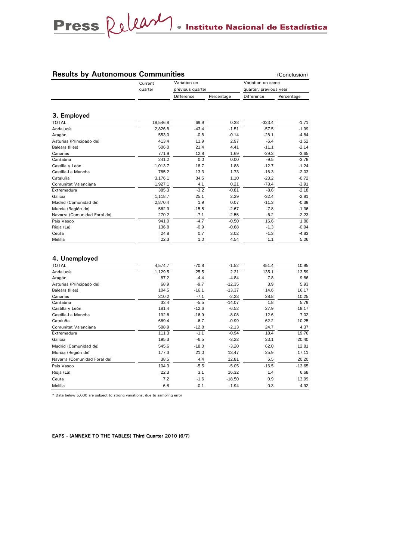#### **Results by Autonomous Communities** (Conclusion)

|                              | Current<br>quarter | Variation on<br>previous quarter |            | Variation on same<br>quarter, previous year |            |  |
|------------------------------|--------------------|----------------------------------|------------|---------------------------------------------|------------|--|
|                              |                    | Difference                       | Percentage | Difference                                  | Percentage |  |
| 3. Employed                  |                    |                                  |            |                                             |            |  |
| <b>TOTAL</b>                 | 18,546.8           | 69.9                             | 0.38       | $-323.4$                                    | $-1.71$    |  |
| Andalucía                    | 2,826.8            | $-43.4$                          | $-1.51$    | $-57.5$                                     | $-1.99$    |  |
| Aragón                       | 553.0              | $-0.8$                           | $-0.14$    | $-28.1$                                     | $-4.84$    |  |
| Asturias (Principado de)     | 413.4              | 11.9                             | 2.97       | $-6.4$                                      | $-1.52$    |  |
| Balears (Illes)              | 506.0              | 21.4                             | 4.41       | $-11.1$                                     | $-2.14$    |  |
| Canarias                     | 771.9              | 12.8                             | 1.69       | $-29.3$                                     | $-3.65$    |  |
| Cantabria                    | 241.2              | 0.0                              | 0.00       | $-9.5$                                      | $-3.78$    |  |
| Castilla y León              | 1.013.7            | 18.7                             | 1.88       | $-12.7$                                     | $-1.24$    |  |
| Castilla-La Mancha           | 785.2              | 13.3                             | 1.73       | $-16.3$                                     | $-2.03$    |  |
| Cataluña                     | 3.176.1            | 34.5                             | 1.10       | $-23.2$                                     | $-0.72$    |  |
| Comunitat Valenciana         | 1,927.1            | 4.1                              | 0.21       | $-78.4$                                     | $-3.91$    |  |
| Extremadura                  | 385.3              | $-3.2$                           | $-0.81$    | $-8.6$                                      | $-2.18$    |  |
| Galicia                      | 1,118.7            | 25.1                             | 2.29       | $-32.4$                                     | $-2.81$    |  |
| Madrid (Comunidad de)        | 2,870.4            | 1.9                              | 0.07       | $-11.3$                                     | $-0.39$    |  |
| Murcia (Región de)           | 562.9              | $-15.5$                          | $-2.67$    | $-7.8$                                      | $-1.36$    |  |
| Navarra (Comunidad Foral de) | 270.2              | $-7.1$                           | $-2.55$    | $-6.2$                                      | $-2.23$    |  |
| País Vasco                   | 941.0              | $-4.7$                           | $-0.50$    | 16.6                                        | 1.80       |  |
| Rioja (La)                   | 136.8              | $-0.9$                           | $-0.68$    | $-1.3$                                      | $-0.94$    |  |
| Ceuta                        | 24.8               | 0.7                              | 3.02       | $-1.3$                                      | $-4.83$    |  |
| Melilla                      | 22.3               | 1.0                              | 4.54       | 1.1                                         | 5.06       |  |

#### **4. Unemployed**

| <b>TOTAL</b>                 | 4,574.7 | $-70.8$ | $-1.52$  | 451.4   | 10.95    |
|------------------------------|---------|---------|----------|---------|----------|
| Andalucía                    | 1,129.5 | 25.5    | 2.31     | 135.1   | 13.59    |
| Aragón                       | 87.2    | $-4.4$  | $-4.84$  | 7.8     | 9.86     |
| Asturias (Principado de)     | 68.9    | $-9.7$  | $-12.35$ | 3.9     | 5.93     |
| Balears (Illes)              | 104.5   | $-16.1$ | $-13.37$ | 14.6    | 16.17    |
| Canarias                     | 310.2   | $-7.1$  | $-2.23$  | 28.8    | 10.25    |
| Cantabria                    | 33.4    | $-5.5$  | $-14.07$ | 1.8     | 5.79     |
| Castilla y León              | 181.4   | $-12.6$ | $-6.52$  | 27.9    | 18.17    |
| Castilla-La Mancha           | 192.6   | $-16.9$ | $-8.08$  | 12.6    | 7.02     |
| Cataluña                     | 669.4   | $-6.7$  | $-0.99$  | 62.2    | 10.25    |
| Comunitat Valenciana         | 588.9   | $-12.8$ | $-2.13$  | 24.7    | 4.37     |
| Extremadura                  | 111.3   | $-1.1$  | $-0.94$  | 18.4    | 19.76    |
| Galicia                      | 195.3   | $-6.5$  | $-3.22$  | 33.1    | 20.40    |
| Madrid (Comunidad de)        | 545.6   | $-18.0$ | $-3.20$  | 62.0    | 12.81    |
| Murcia (Región de)           | 177.3   | 21.0    | 13.47    | 25.9    | 17.11    |
| Navarra (Comunidad Foral de) | 38.5    | 4.4     | 12.81    | 6.5     | 20.20    |
| País Vasco                   | 104.3   | $-5.5$  | $-5.05$  | $-16.5$ | $-13.65$ |
| Rioja (La)                   | 22.3    | 3.1     | 16.32    | 1.4     | 6.68     |
| Ceuta                        | 7.2     | $-1.6$  | $-18.50$ | 0.9     | 13.99    |
| Melilla                      | 6.8     | $-0.1$  | $-1.94$  | 0.3     | 4.92     |

\* Data below 5,000 are subject to strong variations, due to sampling error

**EAPS - (ANNEXE TO THE TABLES) Third Quarter 2010 (6/7)**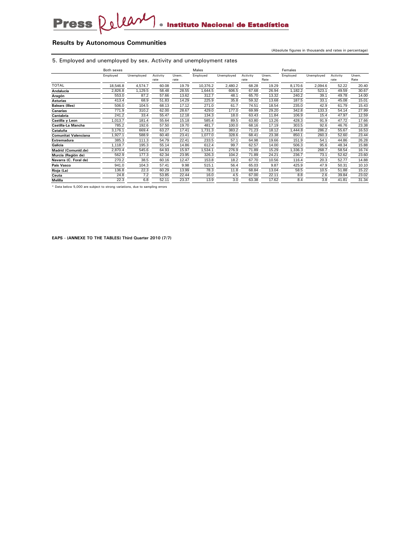#### **Results by Autonomous Communities**

(Absolute figures in thousands and rates in percentage)

5. Employed and unemployed by sex. Activity and unemployment rates

|                             | Both sexes |            | Males    |       |          |            | Females  |       |          |            |          |       |
|-----------------------------|------------|------------|----------|-------|----------|------------|----------|-------|----------|------------|----------|-------|
|                             | Employed   | Unemployed | Activity | Unem. | Employed | Unemployed | Activity | Unem. | Employed | Unemployed | Activity | Unem. |
|                             |            |            | rate     | rate  |          |            | rate     | Rate  |          |            | rate     | Rate  |
| <b>TOTAL</b>                | 18,546.8   | 4,574.7    | 60.08    | 19.79 | 10,376.2 | 2,480.2    | 68.28    | 19.29 | 8,170.6  | 2,094.6    | 52.22    | 20.40 |
| Andalucía                   | 2,826.8    | 1,129.5    | 58.48    | 28.55 | 1,644.5  | 606.5      | 67.68    | 26.94 | 1,182.2  | 523.1      | 49.59    | 30.67 |
| Aragón                      | 553.0      | 87.2       | 57.66    | 13.62 | 312.7    | 48.1       | 65.70    | 13.32 | 240.2    | 39.1       | 49.78    | 14.00 |
| <b>Asturias</b>             | 413.4      | 68.9       | 51.83    | 14.29 | 225.9    | 35.8       | 59.32    | 13.68 | 187.5    | 33.1       | 45.08    | 15.01 |
| <b>Balears (Illes)</b>      | 506.0      | 104.5      | 68.13    | 17.12 | 271.0    | 61.7       | 74.51    | 18.54 | 235.0    | 42.9       | 61.79    | 15.43 |
| Canarias                    | 771.9      | 310.2      | 62.00    | 28.67 | 429.0    | 177.0      | 69.99    | 29.20 | 342.8    | 133.3      | 54.14    | 27.99 |
| Cantabria                   | 241.2      | 33.4       | 55.47    | 12.18 | 134.3    | 18.0       | 63.43    | 11.84 | 106.9    | 15.4       | 47.97    | 12.59 |
| Castilla y Leon             | .013.7     | 181.4      | 55.64    | 15.18 | 585.4    | 89.5       | 63.80    | 13.26 | 428.3    | 91.9       | 47.72    | 17.66 |
| Castilla-La Mancha          | 785.2      | 192.6      | 57.50    | 19.70 | 481.7    | 100.0      | 68.16    | 17.19 | 303.5    | 92.6       | 46.76    | 23.38 |
| Cataluña                    | 3,176.1    | 669.4      | 63.27    | 17.41 | 1,731.3  | 383.2      | 71.23    | 18.12 | ,444.8   | 286.2      | 55.67    | 16.53 |
| <b>Comunitat Valenciana</b> | ,927.1     | 588.9      | 60.40    | 23.41 | 0.77.0   | 328.6      | 68.41    | 23.38 | 850.1    | 260.3      | 52.60    | 23.44 |
| <b>Extremadura</b>          | 385.3      | 111.3      | 54.79    | 22.41 | 233.5    | 57.1       | 64.98    | 19.66 | 151.9    | 54.1       | 44.86    | 26.28 |
| Galicia                     | 1.118.7    | 195.3      | 55.14    | 14.86 | 612.4    | 99.7       | 62.57    | 14.00 | 506.3    | 95.6       | 48.34    | 15.88 |
| Madrid (Comunid.de)         | 2,870.4    | 545.6      | 64.93    | 15.97 | 1,534.1  | 276.9      | 71.89    | 15.29 | .336.3   | 268.7      | 58.54    | 16.74 |
| Murcia (Región de)          | 562.9      | 177.3      | 62.34    | 23.95 | 326.3    | 104.2      | 71.89    | 24.21 | 236.7    | 73.1       | 52.62    | 23.60 |
| Navarra (C. Foral de)       | 270.2      | 38.5       | 60.16    | 12.47 | 153.8    | 18.2       | 67.70    | 10.56 | 116.4    | 20.3       | 52.77    | 14.88 |
| País Vasco                  | 941.0      | 104.3      | 57.41    | 9.98  | 515.1    | 56.4       | 65.03    | 9.87  | 425.9    | 47.9       | 50.31    | 10.10 |
| Rioja (La)                  | 136.8      | 22.3       | 60.29    | 13.99 | 78.3     | 11.8       | 68.84    | 13.04 | 58.5     | 10.5       | 51.88    | 15.22 |
| Ceuta                       | 24.8       | 7.2        | 53.85    | 22.44 | 16.0     | 4.5        | 67.00    | 22.11 | 8.8      | 2.6        | 39.84    | 23.02 |
| Melilla                     | 22.3       | 6.8        | 52.11    | 23.37 | 13.9     | 3.0        | 63.38    | 17.62 | 8.4      | 3.8        | 41.81    | 31.34 |

\* Data below 5,000 are subject to strong variations, due to sampling errors

**EAPS - (ANNEXE TO THE TABLES) Third Quarter 2010 (7/7)**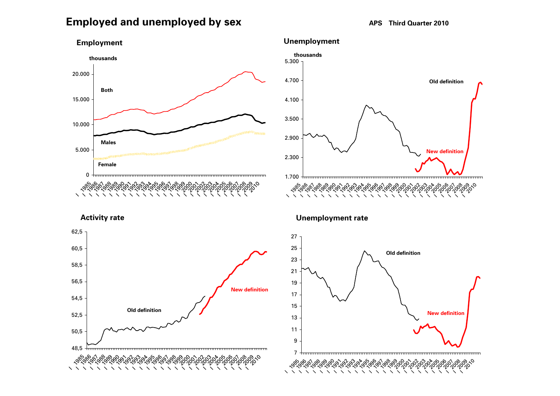## **Employed and unemployed by sex APS** Third Quarter 2010







**Activity rate**



**Unemployment rate**

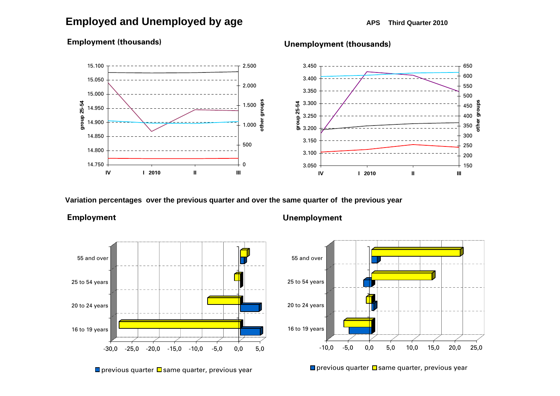## **Employed and Unemployed by age APS** Third Quarter 2010



#### **Employment (thousands)**

**Variation percentages over the previous quarter and over the same quarter of the previous year**





**Unemployed Unemployment**

**Unemployment (thousands)**